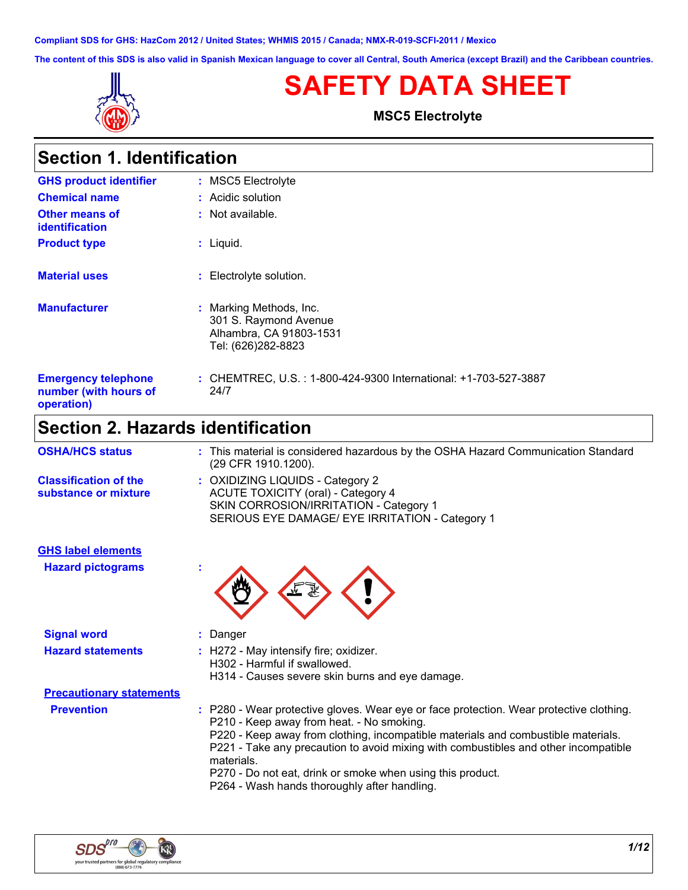**Compliant SDS for GHS: HazCom 2012 / United States; WHMIS 2015 / Canada; NMX-R-019-SCFI-2011 / Mexico**

**The content of this SDS is also valid in Spanish Mexican language to cover all Central, South America (except Brazil) and the Caribbean countries.**



# **SAFETY DATA SHEET**

**MSC5 Electrolyte**

| <b>Section 1. Identification</b>                                  |                                                                                                   |  |
|-------------------------------------------------------------------|---------------------------------------------------------------------------------------------------|--|
| <b>GHS product identifier</b>                                     | : MSC5 Electrolyte                                                                                |  |
| <b>Chemical name</b>                                              | : Acidic solution                                                                                 |  |
| <b>Other means of</b><br><b>identification</b>                    | $:$ Not available.                                                                                |  |
| <b>Product type</b>                                               | : Liquid.                                                                                         |  |
| <b>Material uses</b>                                              | : Electrolyte solution.                                                                           |  |
| <b>Manufacturer</b>                                               | : Marking Methods, Inc.<br>301 S. Raymond Avenue<br>Alhambra, CA 91803-1531<br>Tel: (626)282-8823 |  |
| <b>Emergency telephone</b><br>number (with hours of<br>operation) | : CHEMTREC, U.S. : 1-800-424-9300 International: +1-703-527-3887<br>24/7                          |  |
| Cootion 2 Hazardo identification                                  |                                                                                                   |  |

### **Section 2. Hazards identification**

| : This material is considered hazardous by the OSHA Hazard Communication Standard<br>(29 CFR 1910.1200).                                                                                                                                                                                                                                                                                                                                     |
|----------------------------------------------------------------------------------------------------------------------------------------------------------------------------------------------------------------------------------------------------------------------------------------------------------------------------------------------------------------------------------------------------------------------------------------------|
| : OXIDIZING LIQUIDS - Category 2<br><b>ACUTE TOXICITY (oral) - Category 4</b><br>SKIN CORROSION/IRRITATION - Category 1<br>SERIOUS EYE DAMAGE/ EYE IRRITATION - Category 1                                                                                                                                                                                                                                                                   |
|                                                                                                                                                                                                                                                                                                                                                                                                                                              |
|                                                                                                                                                                                                                                                                                                                                                                                                                                              |
| : Danger                                                                                                                                                                                                                                                                                                                                                                                                                                     |
| : H272 - May intensify fire; oxidizer.<br>H302 - Harmful if swallowed.<br>H314 - Causes severe skin burns and eye damage.                                                                                                                                                                                                                                                                                                                    |
|                                                                                                                                                                                                                                                                                                                                                                                                                                              |
| : P280 - Wear protective gloves. Wear eye or face protection. Wear protective clothing.<br>P210 - Keep away from heat. - No smoking.<br>P220 - Keep away from clothing, incompatible materials and combustible materials.<br>P221 - Take any precaution to avoid mixing with combustibles and other incompatible<br>materials.<br>P270 - Do not eat, drink or smoke when using this product.<br>P264 - Wash hands thoroughly after handling. |
|                                                                                                                                                                                                                                                                                                                                                                                                                                              |

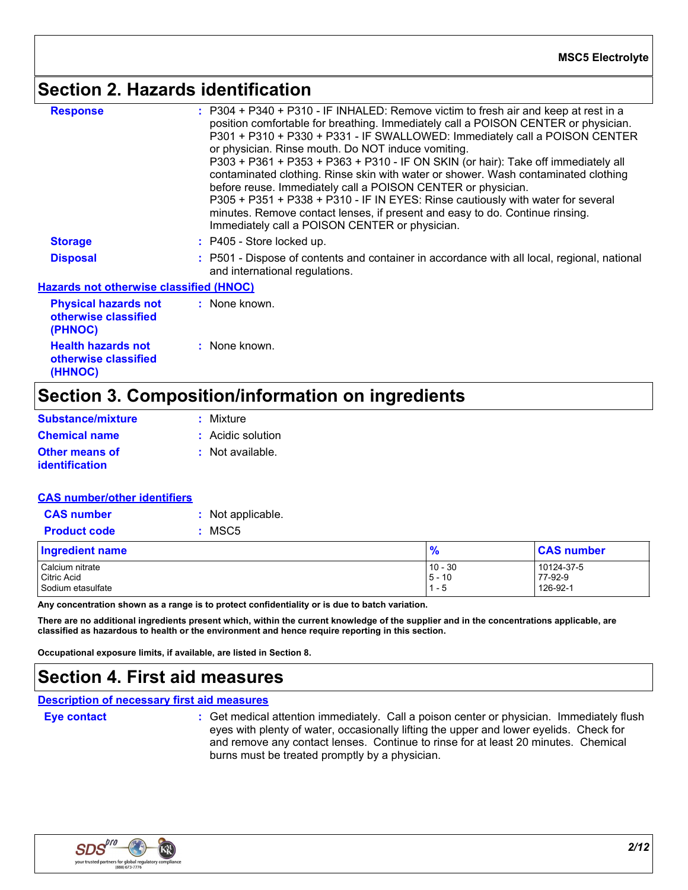### **Section 2. Hazards identification**

| <b>Response</b>                                                | : P304 + P340 + P310 - IF INHALED: Remove victim to fresh air and keep at rest in a<br>position comfortable for breathing. Immediately call a POISON CENTER or physician.<br>P301 + P310 + P330 + P331 - IF SWALLOWED: Immediately call a POISON CENTER<br>or physician. Rinse mouth. Do NOT induce vomiting.<br>P303 + P361 + P353 + P363 + P310 - IF ON SKIN (or hair): Take off immediately all<br>contaminated clothing. Rinse skin with water or shower. Wash contaminated clothing<br>before reuse. Immediately call a POISON CENTER or physician.<br>P305 + P351 + P338 + P310 - IF IN EYES: Rinse cautiously with water for several<br>minutes. Remove contact lenses, if present and easy to do. Continue rinsing.<br>Immediately call a POISON CENTER or physician. |
|----------------------------------------------------------------|-------------------------------------------------------------------------------------------------------------------------------------------------------------------------------------------------------------------------------------------------------------------------------------------------------------------------------------------------------------------------------------------------------------------------------------------------------------------------------------------------------------------------------------------------------------------------------------------------------------------------------------------------------------------------------------------------------------------------------------------------------------------------------|
| <b>Storage</b>                                                 | $:$ P405 - Store locked up.                                                                                                                                                                                                                                                                                                                                                                                                                                                                                                                                                                                                                                                                                                                                                   |
| <b>Disposal</b>                                                | : P501 - Dispose of contents and container in accordance with all local, regional, national<br>and international regulations.                                                                                                                                                                                                                                                                                                                                                                                                                                                                                                                                                                                                                                                 |
| <b>Hazards not otherwise classified (HNOC)</b>                 |                                                                                                                                                                                                                                                                                                                                                                                                                                                                                                                                                                                                                                                                                                                                                                               |
| <b>Physical hazards not</b><br>otherwise classified<br>(PHNOC) | : None known.                                                                                                                                                                                                                                                                                                                                                                                                                                                                                                                                                                                                                                                                                                                                                                 |
| <b>Health hazards not</b>                                      | : None known.                                                                                                                                                                                                                                                                                                                                                                                                                                                                                                                                                                                                                                                                                                                                                                 |

# **Section 3. Composition/information on ingredients**

| <b>Substance/mixture</b>                | : Mixture          |
|-----------------------------------------|--------------------|
| <b>Chemical name</b>                    | : Acidic solution  |
| Other means of<br><b>identification</b> | $:$ Not available. |
|                                         |                    |

**otherwise classified** 

**(HHNOC)**

| <b>CAS number/other identifiers</b> |                   |
|-------------------------------------|-------------------|
| <b>CAS number</b>                   | : Not applicable. |
| <b>Product code</b>                 | $:$ MSC5          |
| <b>Ingredient name</b>              |                   |
| Calaium nitrata                     |                   |

| <b>Ingredient name</b> | $\frac{9}{6}$ | <b>CAS number</b> |
|------------------------|---------------|-------------------|
| Calcium nitrate        | $10 - 30$     | 10124-37-5        |
| <b>Citric Acid</b>     | $5 - 10$      | 77-92-9           |
| Sodium etasulfate      | - 5           | 126-92-1          |

**Any concentration shown as a range is to protect confidentiality or is due to batch variation.**

**There are no additional ingredients present which, within the current knowledge of the supplier and in the concentrations applicable, are classified as hazardous to health or the environment and hence require reporting in this section.**

**Occupational exposure limits, if available, are listed in Section 8.**

### **Section 4. First aid measures**

#### **Description of necessary first aid measures**

**Eye contact Exercise 3 : Get medical attention immediately. Call a poison center or physician. Immediately flush in the set of physician. Immediately flush in the set of physician in the set of physician in the set of p** eyes with plenty of water, occasionally lifting the upper and lower eyelids. Check for and remove any contact lenses. Continue to rinse for at least 20 minutes. Chemical burns must be treated promptly by a physician.

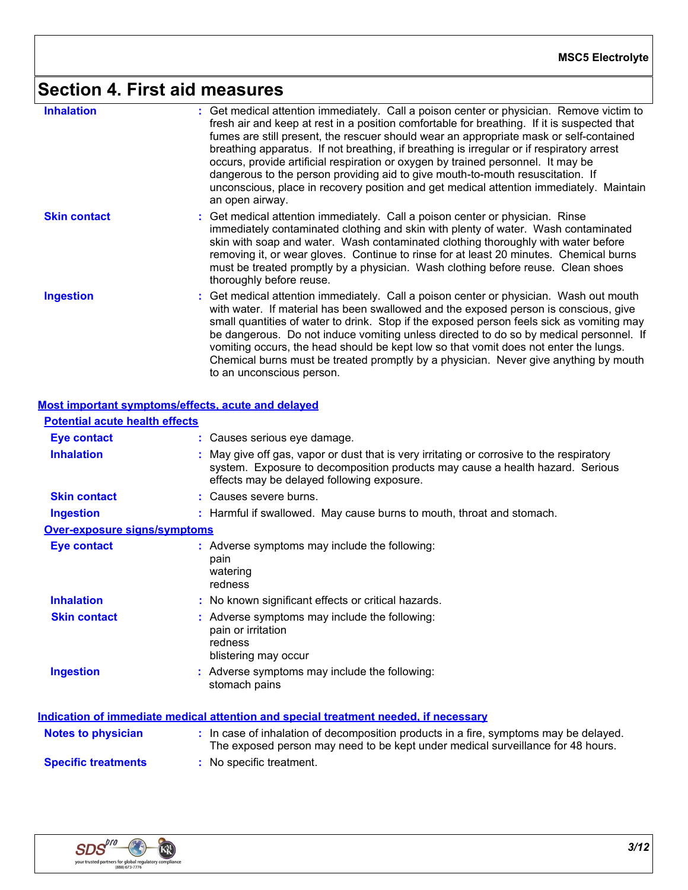# **Section 4. First aid measures**

| <b>Inhalation</b>   | : Get medical attention immediately. Call a poison center or physician. Remove victim to<br>fresh air and keep at rest in a position comfortable for breathing. If it is suspected that<br>fumes are still present, the rescuer should wear an appropriate mask or self-contained<br>breathing apparatus. If not breathing, if breathing is irregular or if respiratory arrest<br>occurs, provide artificial respiration or oxygen by trained personnel. It may be<br>dangerous to the person providing aid to give mouth-to-mouth resuscitation. If<br>unconscious, place in recovery position and get medical attention immediately. Maintain<br>an open airway. |
|---------------------|--------------------------------------------------------------------------------------------------------------------------------------------------------------------------------------------------------------------------------------------------------------------------------------------------------------------------------------------------------------------------------------------------------------------------------------------------------------------------------------------------------------------------------------------------------------------------------------------------------------------------------------------------------------------|
| <b>Skin contact</b> | : Get medical attention immediately. Call a poison center or physician. Rinse<br>immediately contaminated clothing and skin with plenty of water. Wash contaminated<br>skin with soap and water. Wash contaminated clothing thoroughly with water before<br>removing it, or wear gloves. Continue to rinse for at least 20 minutes. Chemical burns<br>must be treated promptly by a physician. Wash clothing before reuse. Clean shoes<br>thoroughly before reuse.                                                                                                                                                                                                 |
| <b>Ingestion</b>    | : Get medical attention immediately. Call a poison center or physician. Wash out mouth<br>with water. If material has been swallowed and the exposed person is conscious, give<br>small quantities of water to drink. Stop if the exposed person feels sick as vomiting may<br>be dangerous. Do not induce vomiting unless directed to do so by medical personnel. If<br>vomiting occurs, the head should be kept low so that vomit does not enter the lungs.<br>Chemical burns must be treated promptly by a physician. Never give anything by mouth<br>to an unconscious person.                                                                                 |

|                                       | Most important symptoms/effects, acute and delayed                                                                                                                                                                       |
|---------------------------------------|--------------------------------------------------------------------------------------------------------------------------------------------------------------------------------------------------------------------------|
| <b>Potential acute health effects</b> |                                                                                                                                                                                                                          |
| Eye contact                           | : Causes serious eye damage.                                                                                                                                                                                             |
| <b>Inhalation</b>                     | : May give off gas, vapor or dust that is very irritating or corrosive to the respiratory<br>system. Exposure to decomposition products may cause a health hazard. Serious<br>effects may be delayed following exposure. |
| <b>Skin contact</b>                   | : Causes severe burns.                                                                                                                                                                                                   |
| <b>Ingestion</b>                      | : Harmful if swallowed. May cause burns to mouth, throat and stomach.                                                                                                                                                    |
| <b>Over-exposure signs/symptoms</b>   |                                                                                                                                                                                                                          |
| <b>Eye contact</b>                    | : Adverse symptoms may include the following:<br>pain<br>watering<br>redness                                                                                                                                             |
| <b>Inhalation</b>                     | : No known significant effects or critical hazards.                                                                                                                                                                      |
| <b>Skin contact</b>                   | : Adverse symptoms may include the following:<br>pain or irritation<br>redness<br>blistering may occur                                                                                                                   |
| <b>Ingestion</b>                      | : Adverse symptoms may include the following:<br>stomach pains                                                                                                                                                           |
|                                       | Indication of immediate medical attention and special treatment needed, if necessary                                                                                                                                     |
| <b>Notes to physician</b>             | : In case of inhalation of decomposition products in a fire, symptoms may be delayed.<br>The exposed person may need to be kept under medical surveillance for 48 hours.                                                 |
| <b>Specific treatments</b>            | : No specific treatment.                                                                                                                                                                                                 |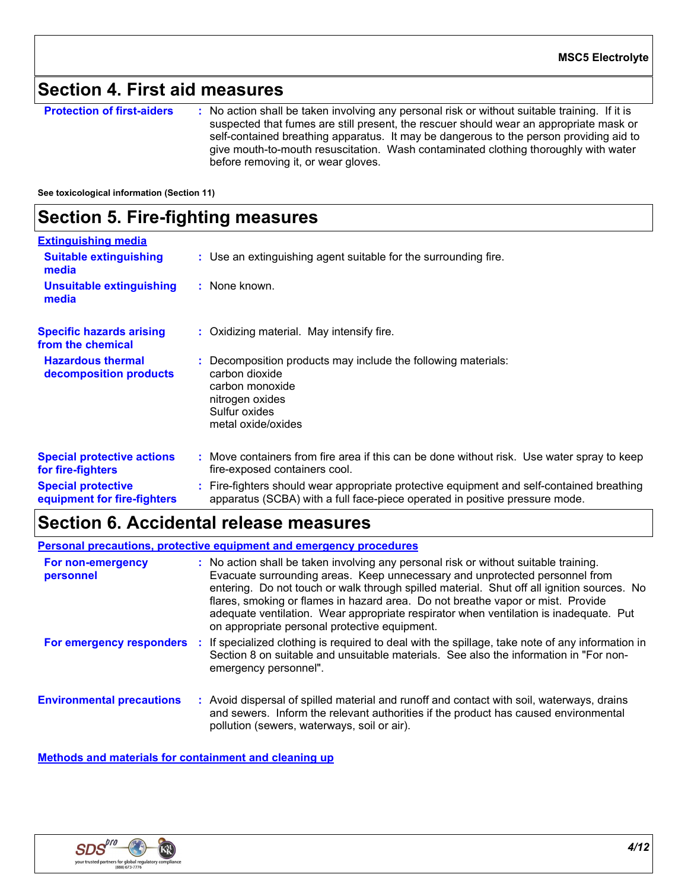### **Section 4. First aid measures**

**Protection of first-aiders** : No action shall be taken involving any personal risk or without suitable training. If it is suspected that fumes are still present, the rescuer should wear an appropriate mask or self-contained breathing apparatus. It may be dangerous to the person providing aid to give mouth-to-mouth resuscitation. Wash contaminated clothing thoroughly with water before removing it, or wear gloves.

#### **See toxicological information (Section 11)**

### **Section 5. Fire-fighting measures**

| <b>Extinguishing media</b>                               |                                                                                                                                                                          |
|----------------------------------------------------------|--------------------------------------------------------------------------------------------------------------------------------------------------------------------------|
| <b>Suitable extinguishing</b><br>media                   | : Use an extinguishing agent suitable for the surrounding fire.                                                                                                          |
| <b>Unsuitable extinguishing</b><br>media                 | : None known.                                                                                                                                                            |
| <b>Specific hazards arising</b><br>from the chemical     | : Oxidizing material. May intensify fire.                                                                                                                                |
| <b>Hazardous thermal</b><br>decomposition products       | : Decomposition products may include the following materials:<br>carbon dioxide<br>carbon monoxide<br>nitrogen oxides<br>Sulfur oxides<br>metal oxide/oxides             |
| <b>Special protective actions</b><br>for fire-fighters   | : Move containers from fire area if this can be done without risk. Use water spray to keep<br>fire-exposed containers cool.                                              |
| <b>Special protective</b><br>equipment for fire-fighters | : Fire-fighters should wear appropriate protective equipment and self-contained breathing<br>apparatus (SCBA) with a full face-piece operated in positive pressure mode. |

### **Section 6. Accidental release measures**

**Personal precautions, protective equipment and emergency procedures**

| For non-emergency<br>personnel   |   | : No action shall be taken involving any personal risk or without suitable training.<br>Evacuate surrounding areas. Keep unnecessary and unprotected personnel from<br>entering. Do not touch or walk through spilled material. Shut off all ignition sources. No<br>flares, smoking or flames in hazard area. Do not breathe vapor or mist. Provide<br>adequate ventilation. Wear appropriate respirator when ventilation is inadequate. Put<br>on appropriate personal protective equipment. |
|----------------------------------|---|------------------------------------------------------------------------------------------------------------------------------------------------------------------------------------------------------------------------------------------------------------------------------------------------------------------------------------------------------------------------------------------------------------------------------------------------------------------------------------------------|
| For emergency responders         | ÷ | If specialized clothing is required to deal with the spillage, take note of any information in<br>Section 8 on suitable and unsuitable materials. See also the information in "For non-<br>emergency personnel".                                                                                                                                                                                                                                                                               |
| <b>Environmental precautions</b> |   | : Avoid dispersal of spilled material and runoff and contact with soil, waterways, drains<br>and sewers. Inform the relevant authorities if the product has caused environmental<br>pollution (sewers, waterways, soil or air).                                                                                                                                                                                                                                                                |

**Methods and materials for containment and cleaning up**

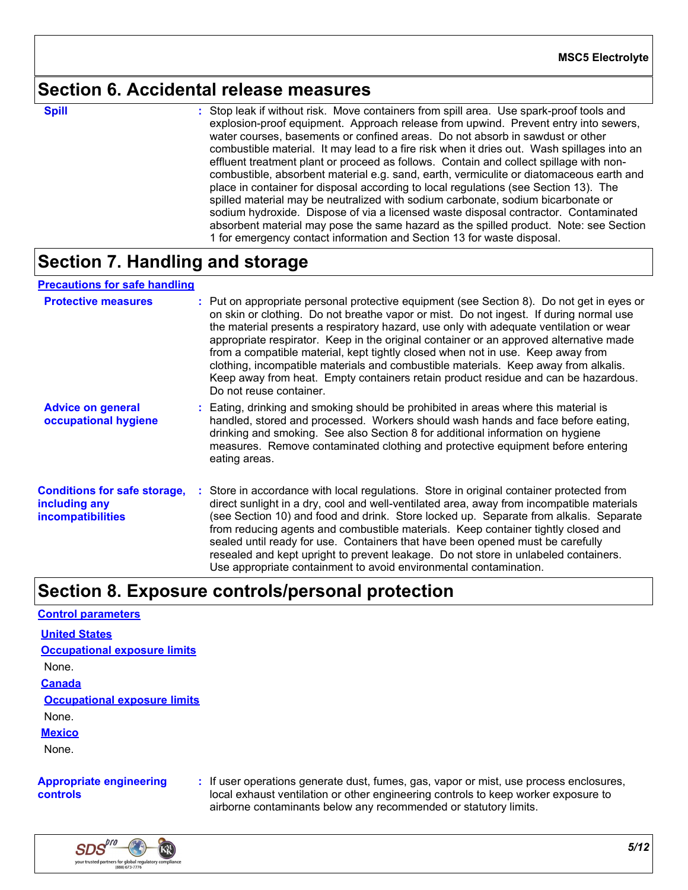### **Section 6. Accidental release measures**

**Spill** Stop leak if without risk. Move containers from spill area. Use spark-proof tools and **Spill** explosion-proof equipment. Approach release from upwind. Prevent entry into sewers, water courses, basements or confined areas. Do not absorb in sawdust or other combustible material. It may lead to a fire risk when it dries out. Wash spillages into an effluent treatment plant or proceed as follows. Contain and collect spillage with noncombustible, absorbent material e.g. sand, earth, vermiculite or diatomaceous earth and place in container for disposal according to local regulations (see Section 13). The spilled material may be neutralized with sodium carbonate, sodium bicarbonate or sodium hydroxide. Dispose of via a licensed waste disposal contractor. Contaminated absorbent material may pose the same hazard as the spilled product. Note: see Section 1 for emergency contact information and Section 13 for waste disposal.

### **Section 7. Handling and storage**

#### **Precautions for safe handling**

| <b>Protective measures</b>                                                       | : Put on appropriate personal protective equipment (see Section 8). Do not get in eyes or<br>on skin or clothing. Do not breathe vapor or mist. Do not ingest. If during normal use<br>the material presents a respiratory hazard, use only with adequate ventilation or wear<br>appropriate respirator. Keep in the original container or an approved alternative made<br>from a compatible material, kept tightly closed when not in use. Keep away from<br>clothing, incompatible materials and combustible materials. Keep away from alkalis.<br>Keep away from heat. Empty containers retain product residue and can be hazardous.<br>Do not reuse container. |
|----------------------------------------------------------------------------------|--------------------------------------------------------------------------------------------------------------------------------------------------------------------------------------------------------------------------------------------------------------------------------------------------------------------------------------------------------------------------------------------------------------------------------------------------------------------------------------------------------------------------------------------------------------------------------------------------------------------------------------------------------------------|
| <b>Advice on general</b><br>occupational hygiene                                 | : Eating, drinking and smoking should be prohibited in areas where this material is<br>handled, stored and processed. Workers should wash hands and face before eating,<br>drinking and smoking. See also Section 8 for additional information on hygiene<br>measures. Remove contaminated clothing and protective equipment before entering<br>eating areas.                                                                                                                                                                                                                                                                                                      |
| <b>Conditions for safe storage,</b><br>including any<br><b>incompatibilities</b> | : Store in accordance with local regulations. Store in original container protected from<br>direct sunlight in a dry, cool and well-ventilated area, away from incompatible materials<br>(see Section 10) and food and drink. Store locked up. Separate from alkalis. Separate<br>from reducing agents and combustible materials. Keep container tightly closed and<br>sealed until ready for use. Containers that have been opened must be carefully<br>resealed and kept upright to prevent leakage. Do not store in unlabeled containers.<br>Use appropriate containment to avoid environmental contamination.                                                  |

### **Section 8. Exposure controls/personal protection**

#### **Control parameters**

**United States**

**Occupational exposure limits**

None.

**Canada**

**Occupational exposure limits**

None.

**Mexico**

None.

#### **Appropriate engineering controls**

**:** If user operations generate dust, fumes, gas, vapor or mist, use process enclosures, local exhaust ventilation or other engineering controls to keep worker exposure to airborne contaminants below any recommended or statutory limits.

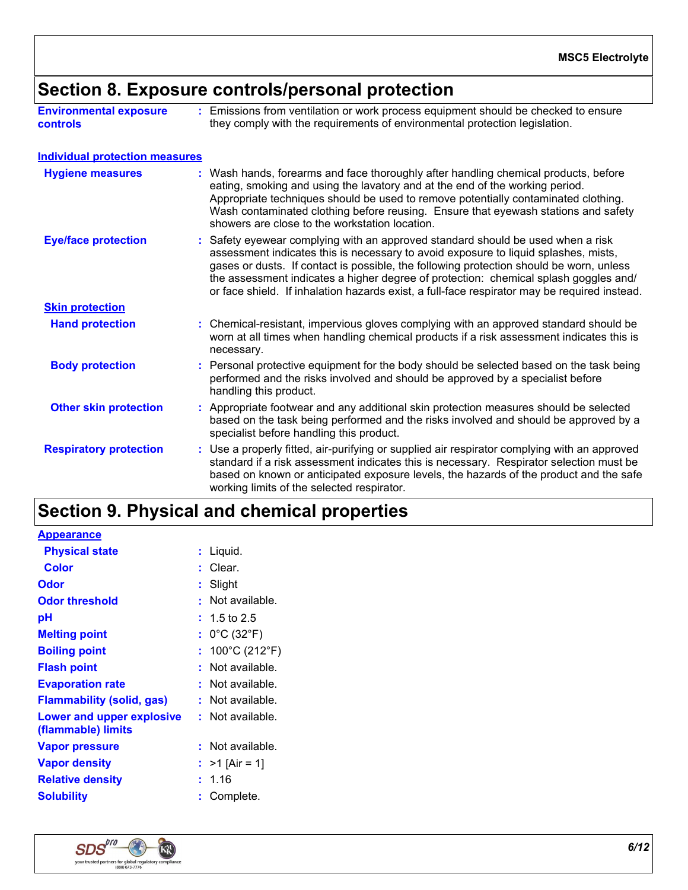# **Section 8. Exposure controls/personal protection**

| <b>Environmental exposure</b> | : Emissions from ventilation or work process equipment should be checked to ensure |
|-------------------------------|------------------------------------------------------------------------------------|
| <b>controls</b>               | they comply with the requirements of environmental protection legislation.         |

| <b>Individual protection measures</b> |                                                                                                                                                                                                                                                                                                                                                                                                                                                           |
|---------------------------------------|-----------------------------------------------------------------------------------------------------------------------------------------------------------------------------------------------------------------------------------------------------------------------------------------------------------------------------------------------------------------------------------------------------------------------------------------------------------|
| <b>Hygiene measures</b>               | : Wash hands, forearms and face thoroughly after handling chemical products, before<br>eating, smoking and using the lavatory and at the end of the working period.<br>Appropriate techniques should be used to remove potentially contaminated clothing.<br>Wash contaminated clothing before reusing. Ensure that eyewash stations and safety<br>showers are close to the workstation location.                                                         |
| <b>Eye/face protection</b>            | : Safety eyewear complying with an approved standard should be used when a risk<br>assessment indicates this is necessary to avoid exposure to liquid splashes, mists,<br>gases or dusts. If contact is possible, the following protection should be worn, unless<br>the assessment indicates a higher degree of protection: chemical splash goggles and/<br>or face shield. If inhalation hazards exist, a full-face respirator may be required instead. |
| <b>Skin protection</b>                |                                                                                                                                                                                                                                                                                                                                                                                                                                                           |
| <b>Hand protection</b>                | : Chemical-resistant, impervious gloves complying with an approved standard should be<br>worn at all times when handling chemical products if a risk assessment indicates this is<br>necessary.                                                                                                                                                                                                                                                           |
| <b>Body protection</b>                | Personal protective equipment for the body should be selected based on the task being<br>performed and the risks involved and should be approved by a specialist before<br>handling this product.                                                                                                                                                                                                                                                         |
| <b>Other skin protection</b>          | : Appropriate footwear and any additional skin protection measures should be selected<br>based on the task being performed and the risks involved and should be approved by a<br>specialist before handling this product.                                                                                                                                                                                                                                 |
| <b>Respiratory protection</b>         | : Use a properly fitted, air-purifying or supplied air respirator complying with an approved<br>standard if a risk assessment indicates this is necessary. Respirator selection must be<br>based on known or anticipated exposure levels, the hazards of the product and the safe<br>working limits of the selected respirator.                                                                                                                           |

# **Section 9. Physical and chemical properties**

| <b>Appearance</b>                               |                                      |
|-------------------------------------------------|--------------------------------------|
| <b>Physical state</b>                           | Liquid.                              |
| Color                                           | Clear.                               |
| Odor                                            | Slight                               |
| <b>Odor threshold</b>                           | Not available.                       |
| рH                                              | $: 1.5$ to 2.5                       |
| <b>Melting point</b>                            | : $0^{\circ}$ C (32 $^{\circ}$ F)    |
| <b>Boiling point</b>                            | : $100^{\circ}$ C (212 $^{\circ}$ F) |
| <b>Flash point</b>                              | Not available.                       |
| <b>Evaporation rate</b>                         | Not available.                       |
| Flammability (solid, gas)                       | : Not available.                     |
| Lower and upper explosive<br>(flammable) limits | : Not available.                     |
| <b>Vapor pressure</b>                           | Not available.                       |
| <b>Vapor density</b>                            | : $>1$ [Air = 1]                     |
| <b>Relative density</b>                         | 1.16                                 |
| <b>Solubility</b>                               | Complete.                            |

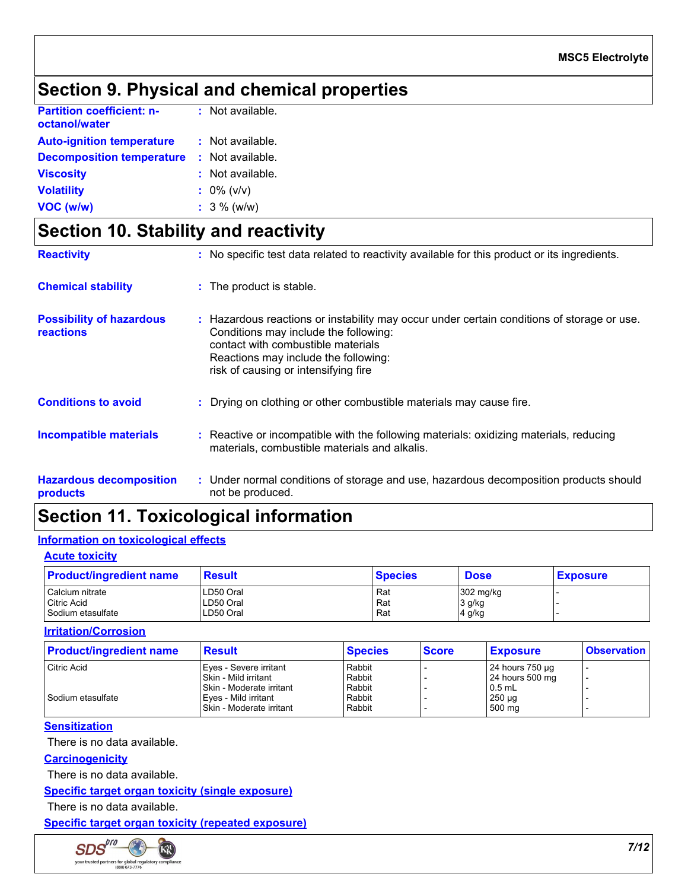### **Section 9. Physical and chemical properties**

| <b>Partition coefficient: n-</b><br>octanol/water | : Not available. |  |
|---------------------------------------------------|------------------|--|
| <b>Auto-ignition temperature</b>                  | : Not available. |  |
| <b>Decomposition temperature</b>                  | : Not available. |  |
| <b>Viscosity</b>                                  | : Not available. |  |
| <b>Volatility</b>                                 | $: 0\%$ (v/v)    |  |
| VOC (w/w)                                         | $: 3 \%$ (w/w)   |  |

### **Section 10. Stability and reactivity**

| <b>Reactivity</b>                            | : No specific test data related to reactivity available for this product or its ingredients.                                                                                                                                                              |
|----------------------------------------------|-----------------------------------------------------------------------------------------------------------------------------------------------------------------------------------------------------------------------------------------------------------|
| <b>Chemical stability</b>                    | : The product is stable.                                                                                                                                                                                                                                  |
| <b>Possibility of hazardous</b><br>reactions | : Hazardous reactions or instability may occur under certain conditions of storage or use.<br>Conditions may include the following:<br>contact with combustible materials<br>Reactions may include the following:<br>risk of causing or intensifying fire |
| <b>Conditions to avoid</b>                   | : Drying on clothing or other combustible materials may cause fire.                                                                                                                                                                                       |
| <b>Incompatible materials</b>                | : Reactive or incompatible with the following materials: oxidizing materials, reducing<br>materials, combustible materials and alkalis.                                                                                                                   |
| <b>Hazardous decomposition</b><br>products   | : Under normal conditions of storage and use, hazardous decomposition products should<br>not be produced.                                                                                                                                                 |

# **Section 11. Toxicological information**

#### **Information on toxicological effects**

| <b>Acute toxicity</b> |                                                                                       |                                                      |                |                               |  |  |
|-----------------------|---------------------------------------------------------------------------------------|------------------------------------------------------|----------------|-------------------------------|--|--|
|                       |                                                                                       |                                                      | <b>Dose</b>    | <b>Exposure</b>               |  |  |
|                       |                                                                                       | Rat                                                  |                |                               |  |  |
|                       |                                                                                       | Rat                                                  |                |                               |  |  |
|                       |                                                                                       | Rat                                                  |                |                               |  |  |
|                       | <b>Product/ingredient name</b><br>Calcium nitrate<br>Citric Acid<br>Sodium etasulfate | <b>Result</b><br>LD50 Oral<br>LD50 Oral<br>LD50 Oral | <b>Species</b> | 302 mg/kg<br>3 g/kg<br>4 g/kg |  |  |

**Irritation/Corrosion**

| <b>Product/ingredient name</b> | <b>Result</b>            | <b>Species</b> | <b>Score</b> | <b>Exposure</b>   | <b>Observation</b>       |
|--------------------------------|--------------------------|----------------|--------------|-------------------|--------------------------|
| Citric Acid                    | Eyes - Severe irritant   | Rabbit         |              | $24$ hours 750 µg | $\overline{\phantom{a}}$ |
|                                | Skin - Mild irritant     | Rabbit         |              | 24 hours 500 mg   | $\overline{\phantom{0}}$ |
|                                | Skin - Moderate irritant | Rabbit         |              | $0.5$ mL          |                          |
| Sodium etasulfate              | Eyes - Mild irritant     | Rabbit         |              | $250 \mu g$       |                          |
|                                | Skin - Moderate irritant | Rabbit         |              | 500 mg            |                          |

#### **Sensitization**

There is no data available.

**Carcinogenicity**

There is no data available.

#### **Specific target organ toxicity (single exposure)**

There is no data available.

**Specific target organ toxicity (repeated exposure)**

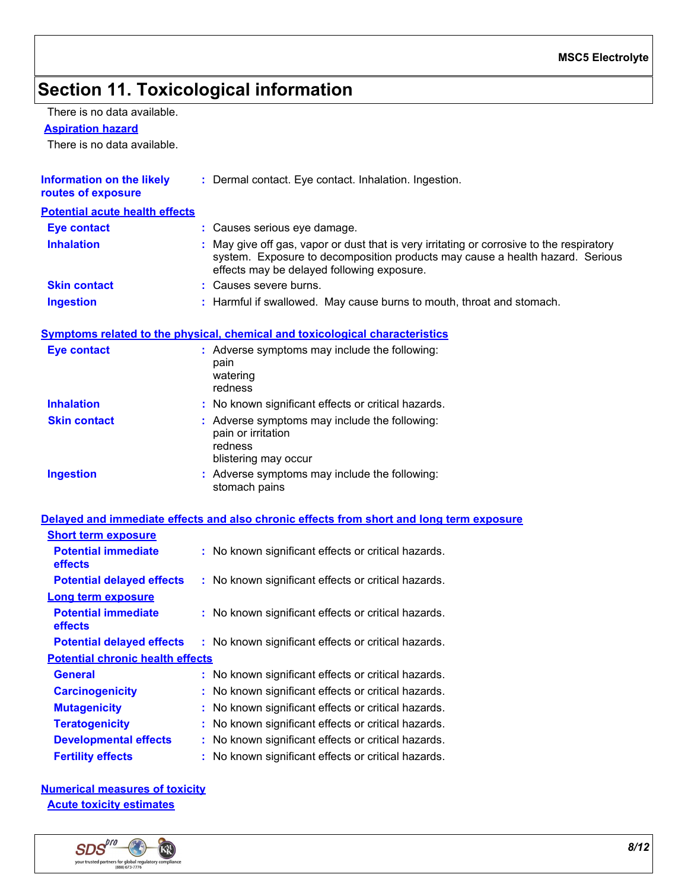# **Section 11. Toxicological information**

There is no data available.

#### **Aspiration hazard**

There is no data available.

| <b>Information on the likely</b><br>routes of exposure | : Dermal contact. Eye contact. Inhalation. Ingestion.                                                                                                                                                                    |
|--------------------------------------------------------|--------------------------------------------------------------------------------------------------------------------------------------------------------------------------------------------------------------------------|
| <b>Potential acute health effects</b>                  |                                                                                                                                                                                                                          |
| Eye contact                                            | : Causes serious eye damage.                                                                                                                                                                                             |
| <b>Inhalation</b>                                      | : May give off gas, vapor or dust that is very irritating or corrosive to the respiratory<br>system. Exposure to decomposition products may cause a health hazard. Serious<br>effects may be delayed following exposure. |
| <b>Skin contact</b>                                    | : Causes severe burns.                                                                                                                                                                                                   |
| <b>Ingestion</b>                                       | : Harmful if swallowed. May cause burns to mouth, throat and stomach.                                                                                                                                                    |

#### **Symptoms related to the physical, chemical and toxicological characteristics**

| <b>Eye contact</b>  | : Adverse symptoms may include the following:<br>pain<br>watering<br>redness                           |
|---------------------|--------------------------------------------------------------------------------------------------------|
| <b>Inhalation</b>   | : No known significant effects or critical hazards.                                                    |
| <b>Skin contact</b> | : Adverse symptoms may include the following:<br>pain or irritation<br>redness<br>blistering may occur |
| <b>Ingestion</b>    | : Adverse symptoms may include the following:<br>stomach pains                                         |

#### **Delayed and immediate effects and also chronic effects from short and long term exposure**

| : No known significant effects or critical hazards. |
|-----------------------------------------------------|
| : No known significant effects or critical hazards. |
|                                                     |
| : No known significant effects or critical hazards. |
| : No known significant effects or critical hazards. |
| <b>Potential chronic health effects</b>             |
| : No known significant effects or critical hazards. |
| : No known significant effects or critical hazards. |
| : No known significant effects or critical hazards. |
| : No known significant effects or critical hazards. |
| : No known significant effects or critical hazards. |
| : No known significant effects or critical hazards. |
|                                                     |

**Numerical measures of toxicity Acute toxicity estimates**

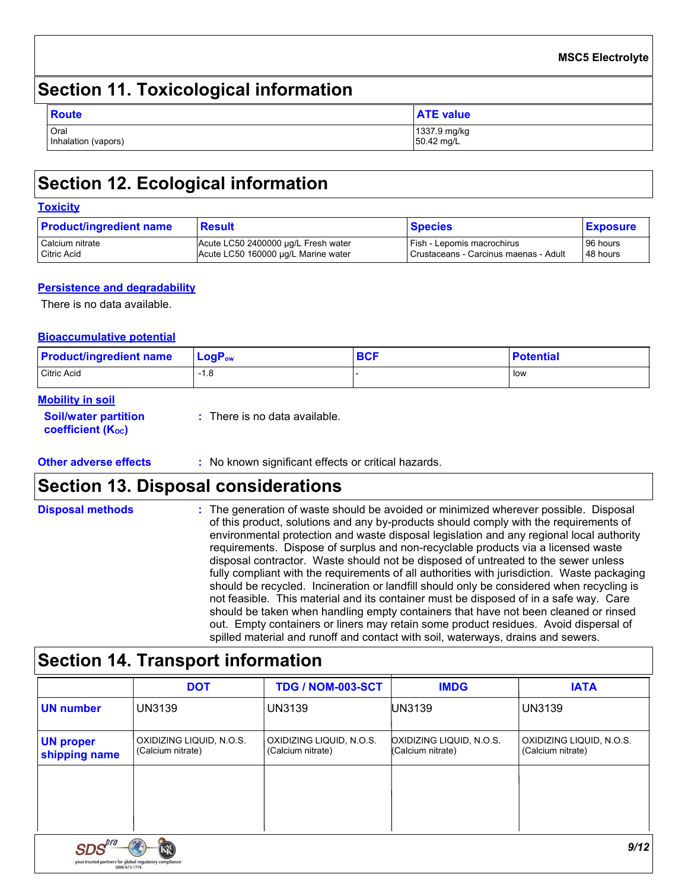# **Section 11. Toxicological information**

| <b>Route</b>                | <b>ATE value</b>           |
|-----------------------------|----------------------------|
| Oral<br>Inhalation (vapors) | 1337.9 mg/kg<br>50.42 mg/L |

# **Section 12. Ecological information**

#### **Toxicity**

| <b>Product/ingredient name</b> | Result                              | <b>Species</b>                        | <b>Exposure</b> |
|--------------------------------|-------------------------------------|---------------------------------------|-----------------|
| Calcium nitrate                | Acute LC50 2400000 µg/L Fresh water | Fish - Lepomis macrochirus            | 96 hours        |
| <b>Citric Acid</b>             | Acute LC50 160000 µg/L Marine water | Crustaceans - Carcinus maenas - Adult | 48 hours        |

#### **Persistence and degradability**

There is no data available.

#### **Bioaccumulative potential**

| <b>Product/ingredient name</b> | $\mathsf{LogP}_\mathsf{ow}$ | <b>BCF</b> | <b>Potential</b> |
|--------------------------------|-----------------------------|------------|------------------|
| Citric Acid                    | <b>Q</b><br>-1.0            |            | low              |

#### **Mobility in soil**

| <b>Soil/water partition</b> | $\therefore$ There is no data available. |
|-----------------------------|------------------------------------------|
| <b>coefficient (Koc)</b>    |                                          |

**Other adverse effects** : No known significant effects or critical hazards.

### **Section 13. Disposal considerations**

| <b>Disposal methods</b> | : The generation of waste should be avoided or minimized wherever possible. Disposal<br>of this product, solutions and any by-products should comply with the requirements of<br>environmental protection and waste disposal legislation and any regional local authority<br>requirements. Dispose of surplus and non-recyclable products via a licensed waste<br>disposal contractor. Waste should not be disposed of untreated to the sewer unless<br>fully compliant with the requirements of all authorities with jurisdiction. Waste packaging<br>should be recycled. Incineration or landfill should only be considered when recycling is<br>not feasible. This material and its container must be disposed of in a safe way. Care<br>should be taken when handling empty containers that have not been cleaned or rinsed<br>out. Empty containers or liners may retain some product residues. Avoid dispersal of |
|-------------------------|-------------------------------------------------------------------------------------------------------------------------------------------------------------------------------------------------------------------------------------------------------------------------------------------------------------------------------------------------------------------------------------------------------------------------------------------------------------------------------------------------------------------------------------------------------------------------------------------------------------------------------------------------------------------------------------------------------------------------------------------------------------------------------------------------------------------------------------------------------------------------------------------------------------------------|
|                         | spilled material and runoff and contact with soil, waterways, drains and sewers.                                                                                                                                                                                                                                                                                                                                                                                                                                                                                                                                                                                                                                                                                                                                                                                                                                        |

# **Section 14. Transport information**

|                                                                  | <b>DOT</b>                                    | <b>TDG / NOM-003-SCT</b>                      | <b>IMDG</b>                                   | <b>IATA</b>                                   |
|------------------------------------------------------------------|-----------------------------------------------|-----------------------------------------------|-----------------------------------------------|-----------------------------------------------|
| <b>UN number</b>                                                 | <b>UN3139</b>                                 | <b>UN3139</b>                                 | UN3139                                        | <b>UN3139</b>                                 |
| <b>UN proper</b><br>shipping name                                | OXIDIZING LIQUID, N.O.S.<br>(Calcium nitrate) | OXIDIZING LIQUID, N.O.S.<br>(Calcium nitrate) | OXIDIZING LIQUID, N.O.S.<br>(Calcium nitrate) | OXIDIZING LIQUID, N.O.S.<br>(Calcium nitrate) |
|                                                                  |                                               |                                               |                                               |                                               |
|                                                                  |                                               |                                               |                                               |                                               |
| SDS'''<br>your trusted partners for global regulatory compliance |                                               |                                               |                                               | 9/12                                          |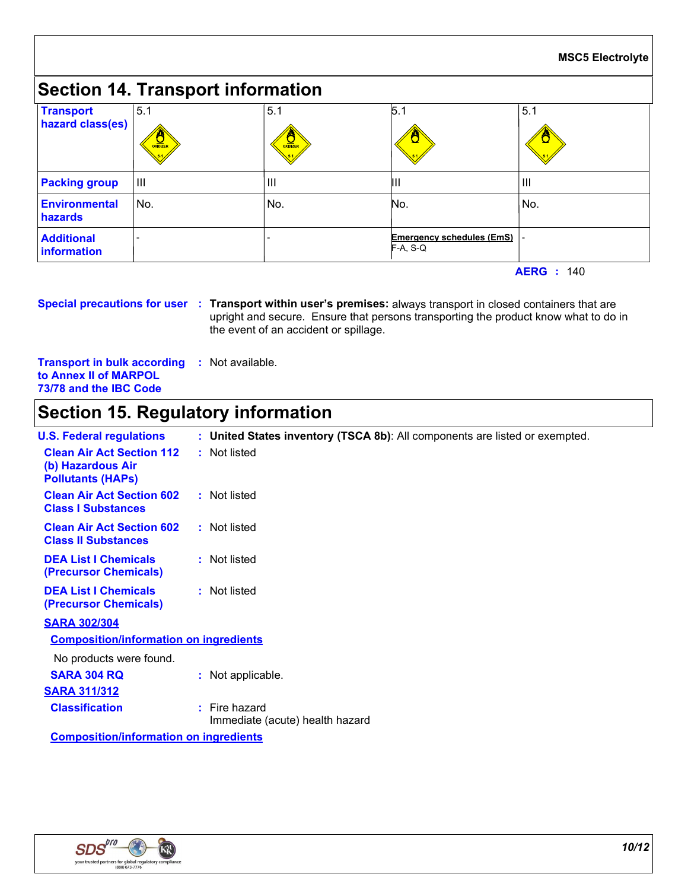#### **Section 14. Transport information** 5.1 III  $5.1$ III  $\overline{5.1}$ III **Emergency schedules (EmS)** F-A, S-Q **-** Production **Transport hazard class(es) Packing group Additional information Environmental hazards** No. No. No. -No. 5.1 III

**AERG :** 140

**Special precautions for user Transport within user's premises:** always transport in closed containers that are **:** upright and secure. Ensure that persons transporting the product know what to do in the event of an accident or spillage.

**Transport in bulk according :** Not available. **to Annex II of MARPOL 73/78 and the IBC Code**

# **Section 15. Regulatory information**

| <b>U.S. Federal regulations</b>                                                   | : United States inventory (TSCA 8b): All components are listed or exempted. |  |
|-----------------------------------------------------------------------------------|-----------------------------------------------------------------------------|--|
| <b>Clean Air Act Section 112</b><br>(b) Hazardous Air<br><b>Pollutants (HAPS)</b> | : Not listed                                                                |  |
| <b>Clean Air Act Section 602</b><br><b>Class I Substances</b>                     | : Not listed                                                                |  |
| <b>Clean Air Act Section 602</b><br><b>Class II Substances</b>                    | : Not listed                                                                |  |
| <b>DEA List I Chemicals</b><br>(Precursor Chemicals)                              | : Not listed                                                                |  |
| <b>DEA List I Chemicals</b><br>(Precursor Chemicals)                              | : Not listed                                                                |  |
| <b>SARA 302/304</b>                                                               |                                                                             |  |
| <b>Composition/information on ingredients</b>                                     |                                                                             |  |
| No products were found.                                                           |                                                                             |  |
| <b>SARA 304 RQ</b>                                                                | : Not applicable.                                                           |  |
| <b>SARA 311/312</b>                                                               |                                                                             |  |
| <b>Classification</b>                                                             | $:$ Fire hazard<br>Immediate (acute) health hazard                          |  |
| <b>Composition/information on ingredients</b>                                     |                                                                             |  |

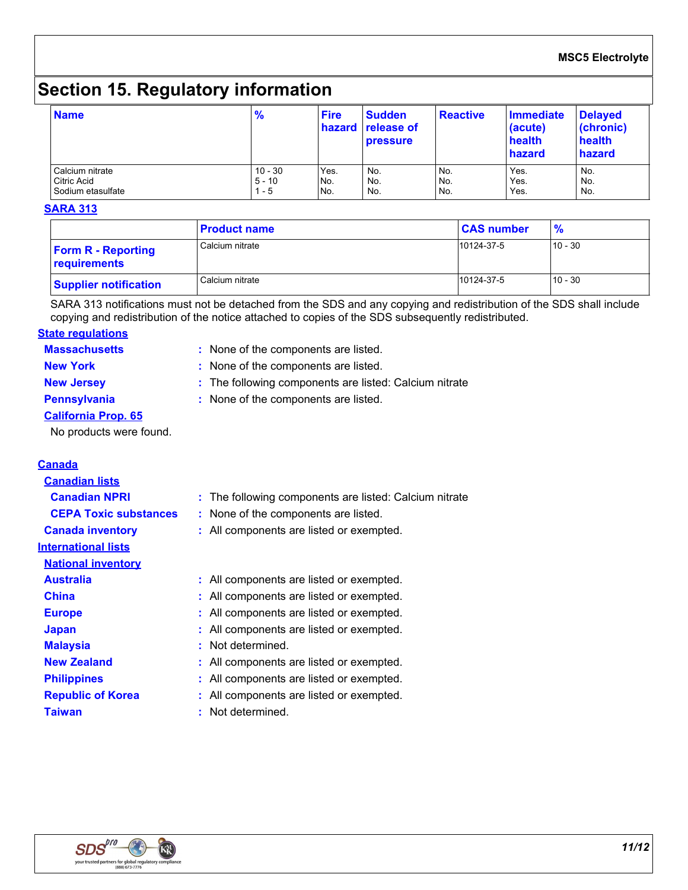# **Section 15. Regulatory information**

| <b>Name</b>       | $\frac{9}{6}$ | <b>Fire</b> | <b>Sudden</b><br>hazard release of<br><b>pressure</b> | <b>Reactive</b> | Immediate<br>(acute)<br>health<br>hazard | <b>Delayed</b><br>(chronic)<br>health<br>hazard |
|-------------------|---------------|-------------|-------------------------------------------------------|-----------------|------------------------------------------|-------------------------------------------------|
| l Calcium nitrate | $10 - 30$     | Yes.        | No.                                                   | No.             | Yes.                                     | No.                                             |
| Citric Acid       | $5 - 10$      | No.         | No.                                                   | No.             | Yes.                                     | No.                                             |
| Sodium etasulfate | - 5           | No.         | No.                                                   | No.             | Yes.                                     | No.                                             |

#### **SARA 313**

|                                           | <b>Product name</b> | <b>CAS number</b> | $\frac{9}{6}$ |
|-------------------------------------------|---------------------|-------------------|---------------|
| <b>Form R - Reporting</b><br>requirements | Calcium nitrate     | 10124-37-5        | $10 - 30$     |
| <b>Supplier notification</b>              | Calcium nitrate     | 10124-37-5        | $10 - 30$     |

SARA 313 notifications must not be detached from the SDS and any copying and redistribution of the SDS shall include copying and redistribution of the notice attached to copies of the SDS subsequently redistributed.

### **State regulations**

| <b>Massachusetts</b>       | : None of the components are listed.                   |
|----------------------------|--------------------------------------------------------|
| <b>New York</b>            | : None of the components are listed.                   |
| <b>New Jersey</b>          | : The following components are listed: Calcium nitrate |
| <b>Pennsylvania</b>        | : None of the components are listed.                   |
| <b>California Prop. 65</b> |                                                        |

No products were found.

| <b>Canada</b>                |                                                        |
|------------------------------|--------------------------------------------------------|
| <b>Canadian lists</b>        |                                                        |
| <b>Canadian NPRI</b>         | : The following components are listed: Calcium nitrate |
| <b>CEPA Toxic substances</b> | : None of the components are listed.                   |
| <b>Canada inventory</b>      | : All components are listed or exempted.               |
| <b>International lists</b>   |                                                        |
| <b>National inventory</b>    |                                                        |
| <b>Australia</b>             | : All components are listed or exempted.               |
| <b>China</b>                 | : All components are listed or exempted.               |
| <b>Europe</b>                | : All components are listed or exempted.               |
| <b>Japan</b>                 | : All components are listed or exempted.               |
| <b>Malaysia</b>              | : Not determined.                                      |
| <b>New Zealand</b>           | : All components are listed or exempted.               |
| <b>Philippines</b>           | : All components are listed or exempted.               |
| <b>Republic of Korea</b>     | : All components are listed or exempted.               |
| <b>Taiwan</b>                | Not determined.                                        |
|                              |                                                        |